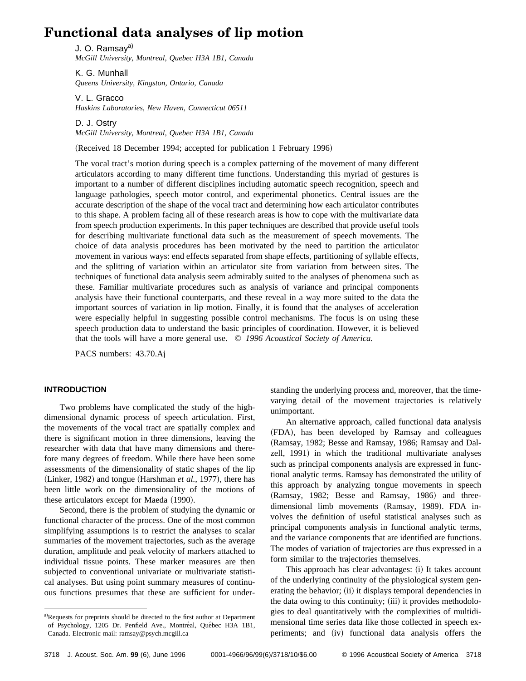# **Functional data analyses of lip motion**

J. O. Ramsay<sup>a)</sup> *McGill University, Montreal, Quebec H3A 1B1, Canada*

K. G. Munhall *Queens University, Kingston, Ontario, Canada*

V. L. Gracco *Haskins Laboratories, New Haven, Connecticut 06511*

D. J. Ostry *McGill University, Montreal, Quebec H3A 1B1, Canada*

(Received 18 December 1994; accepted for publication 1 February 1996)

The vocal tract's motion during speech is a complex patterning of the movement of many different articulators according to many different time functions. Understanding this myriad of gestures is important to a number of different disciplines including automatic speech recognition, speech and language pathologies, speech motor control, and experimental phonetics. Central issues are the accurate description of the shape of the vocal tract and determining how each articulator contributes to this shape. A problem facing all of these research areas is how to cope with the multivariate data from speech production experiments. In this paper techniques are described that provide useful tools for describing multivariate functional data such as the measurement of speech movements. The choice of data analysis procedures has been motivated by the need to partition the articulator movement in various ways: end effects separated from shape effects, partitioning of syllable effects, and the splitting of variation within an articulator site from variation from between sites. The techniques of functional data analysis seem admirably suited to the analyses of phenomena such as these. Familiar multivariate procedures such as analysis of variance and principal components analysis have their functional counterparts, and these reveal in a way more suited to the data the important sources of variation in lip motion. Finally, it is found that the analyses of acceleration were especially helpful in suggesting possible control mechanisms. The focus is on using these speech production data to understand the basic principles of coordination. However, it is believed that the tools will have a more general use. © *1996 Acoustical Society of America.*

PACS numbers: 43.70.Aj

# **INTRODUCTION**

Two problems have complicated the study of the highdimensional dynamic process of speech articulation. First, the movements of the vocal tract are spatially complex and there is significant motion in three dimensions, leaving the researcher with data that have many dimensions and therefore many degrees of freedom. While there have been some assessments of the dimensionality of static shapes of the lip (Linker, 1982) and tongue (Harshman *et al.*, 1977), there has been little work on the dimensionality of the motions of these articulators except for Maeda (1990).

Second, there is the problem of studying the dynamic or functional character of the process. One of the most common simplifying assumptions is to restrict the analyses to scalar summaries of the movement trajectories, such as the average duration, amplitude and peak velocity of markers attached to individual tissue points. These marker measures are then subjected to conventional univariate or multivariate statistical analyses. But using point summary measures of continuous functions presumes that these are sufficient for understanding the underlying process and, moreover, that the timevarying detail of the movement trajectories is relatively unimportant.

An alternative approach, called functional data analysis (FDA), has been developed by Ramsay and colleagues (Ramsay, 1982; Besse and Ramsay, 1986; Ramsay and Dalzell, 1991) in which the traditional multivariate analyses such as principal components analysis are expressed in functional analytic terms. Ramsay has demonstrated the utility of this approach by analyzing tongue movements in speech (Ramsay, 1982; Besse and Ramsay, 1986) and threedimensional limb movements (Ramsay, 1989). FDA involves the definition of useful statistical analyses such as principal components analysis in functional analytic terms, and the variance components that are identified are functions. The modes of variation of trajectories are thus expressed in a form similar to the trajectories themselves.

This approach has clear advantages: (i) It takes account of the underlying continuity of the physiological system generating the behavior; (ii) it displays temporal dependencies in the data owing to this continuity; (iii) it provides methodologies to deal quantitatively with the complexities of multidimensional time series data like those collected in speech experiments; and (iv) functional data analysis offers the

a)Requests for preprints should be directed to the first author at Department of Psychology, 1205 Dr. Penfield Ave., Montréal, Québec H3A 1B1, Canada. Electronic mail: ramsay@psych.mcgill.ca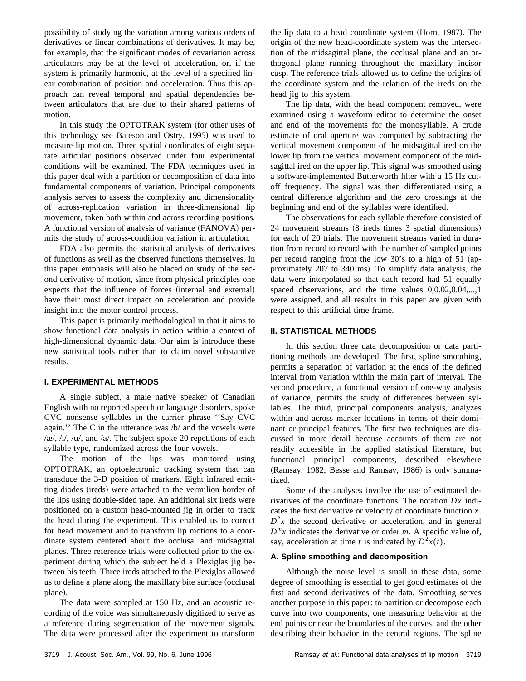possibility of studying the variation among various orders of derivatives or linear combinations of derivatives. It may be, for example, that the significant modes of covariation across articulators may be at the level of acceleration, or, if the system is primarily harmonic, at the level of a specified linear combination of position and acceleration. Thus this approach can reveal temporal and spatial dependencies between articulators that are due to their shared patterns of motion.

In this study the OPTOTRAK system (for other uses of this technology see Bateson and Ostry, 1995) was used to measure lip motion. Three spatial coordinates of eight separate articular positions observed under four experimental conditions will be examined. The FDA techniques used in this paper deal with a partition or decomposition of data into fundamental components of variation. Principal components analysis serves to assess the complexity and dimensionality of across-replication variation in three-dimensional lip movement, taken both within and across recording positions. A functional version of analysis of variance (FANOVA) permits the study of across-condition variation in articulation.

FDA also permits the statistical analysis of derivatives of functions as well as the observed functions themselves. In this paper emphasis will also be placed on study of the second derivative of motion, since from physical principles one expects that the influence of forces (internal and external) have their most direct impact on acceleration and provide insight into the motor control process.

This paper is primarily methodological in that it aims to show functional data analysis in action within a context of high-dimensional dynamic data. Our aim is introduce these new statistical tools rather than to claim novel substantive results.

# **I. EXPERIMENTAL METHODS**

A single subject, a male native speaker of Canadian English with no reported speech or language disorders, spoke CVC nonsense syllables in the carrier phrase ''Say CVC again.'' The C in the utterance was /b/ and the vowels were  $/\mathcal{R}/$ ,  $/i/$ ,  $/\mathcal{U}/$ , and  $/\mathcal{A}/$ . The subject spoke 20 repetitions of each syllable type, randomized across the four vowels.

The motion of the lips was monitored using OPTOTRAK, an optoelectronic tracking system that can transduce the 3-D position of markers. Eight infrared emitting diodes (ireds) were attached to the vermilion border of the lips using double-sided tape. An additional six ireds were positioned on a custom head-mounted jig in order to track the head during the experiment. This enabled us to correct for head movement and to transform lip motions to a coordinate system centered about the occlusal and midsagittal planes. Three reference trials were collected prior to the experiment during which the subject held a Plexiglas jig between his teeth. Three ireds attached to the Plexiglas allowed us to define a plane along the maxillary bite surface (occlusal plane).

The data were sampled at 150 Hz, and an acoustic recording of the voice was simultaneously digitized to serve as a reference during segmentation of the movement signals. The data were processed after the experiment to transform the lip data to a head coordinate system (Horn, 1987). The origin of the new head-coordinate system was the intersection of the midsagittal plane, the occlusal plane and an orthogonal plane running throughout the maxillary incisor cusp. The reference trials allowed us to define the origins of the coordinate system and the relation of the ireds on the head jig to this system.

The lip data, with the head component removed, were examined using a waveform editor to determine the onset and end of the movements for the monosyllable. A crude estimate of oral aperture was computed by subtracting the vertical movement component of the midsagittal ired on the lower lip from the vertical movement component of the midsagittal ired on the upper lip. This signal was smoothed using a software-implemented Butterworth filter with a 15 Hz cutoff frequency. The signal was then differentiated using a central difference algorithm and the zero crossings at the beginning and end of the syllables were identified.

The observations for each syllable therefore consisted of 24 movement streams  $(8 \text{ ireds times } 3 \text{ spatial dimensions})$ for each of 20 trials. The movement streams varied in duration from record to record with the number of sampled points per record ranging from the low  $30$ 's to a high of  $51$  (approximately 207 to 340 ms). To simplify data analysis, the data were interpolated so that each record had 51 equally spaced observations, and the time values 0,0.02,0.04,...,1 were assigned, and all results in this paper are given with respect to this artificial time frame.

#### **II. STATISTICAL METHODS**

In this section three data decomposition or data partitioning methods are developed. The first, spline smoothing, permits a separation of variation at the ends of the defined interval from variation within the main part of interval. The second procedure, a functional version of one-way analysis of variance, permits the study of differences between syllables. The third, principal components analysis, analyzes within and across marker locations in terms of their dominant or principal features. The first two techniques are discussed in more detail because accounts of them are not readily accessible in the applied statistical literature, but functional principal components, described elsewhere  $(Ramsay, 1982; Besse and Ramsay, 1986)$  is only summarized.

Some of the analyses involve the use of estimated derivatives of the coordinate functions. The notation *Dx* indicates the first derivative or velocity of coordinate function *x*.  $D^2x$  the second derivative or acceleration, and in general  $D^{m}x$  indicates the derivative or order *m*. A specific value of, say, acceleration at time *t* is indicated by  $D^2x(t)$ .

#### **A. Spline smoothing and decomposition**

Although the noise level is small in these data, some degree of smoothing is essential to get good estimates of the first and second derivatives of the data. Smoothing serves another purpose in this paper: to partition or decompose each curve into two components, one measuring behavior at the end points or near the boundaries of the curves, and the other describing their behavior in the central regions. The spline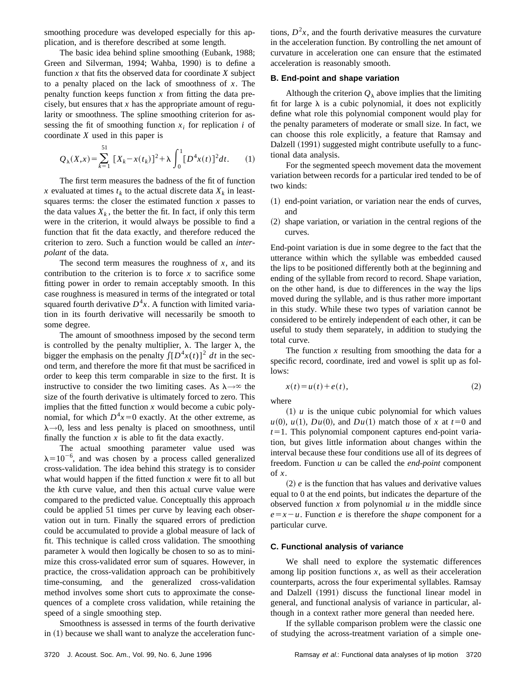smoothing procedure was developed especially for this application, and is therefore described at some length.

The basic idea behind spline smoothing (Eubank, 1988; Green and Silverman, 1994; Wahba, 1990) is to define a function  $x$  that fits the observed data for coordinate  $X$  subject to a penalty placed on the lack of smoothness of *x*. The penalty function keeps function *x* from fitting the data precisely, but ensures that *x* has the appropriate amount of regularity or smoothness. The spline smoothing criterion for assessing the fit of smoothing function  $x_i$  for replication  $i$  of coordinate *X* used in this paper is

$$
Q_{\lambda}(X,x) = \sum_{k=1}^{51} [X_k - x(t_k)]^2 + \lambda \int_0^1 [D^4x(t)]^2 dt.
$$
 (1)

The first term measures the badness of the fit of function *x* evaluated at times  $t_k$  to the actual discrete data  $X_k$  in leastsquares terms: the closer the estimated function  $x$  passes to the data values  $X_k$ , the better the fit. In fact, if only this term were in the criterion, it would always be possible to find a function that fit the data exactly, and therefore reduced the criterion to zero. Such a function would be called an *interpolant* of the data.

The second term measures the roughness of *x*, and its contribution to the criterion is to force  $x$  to sacrifice some fitting power in order to remain acceptably smooth. In this case roughness is measured in terms of the integrated or total squared fourth derivative  $D^4x$ . A function with limited variation in its fourth derivative will necessarily be smooth to some degree.

The amount of smoothness imposed by the second term is controlled by the penalty multiplier,  $\lambda$ . The larger  $\lambda$ , the bigger the emphasis on the penalty  $\int [D^4x(t)]^2 dt$  in the second term, and therefore the more fit that must be sacrificed in order to keep this term comparable in size to the first. It is instructive to consider the two limiting cases. As  $\lambda \rightarrow \infty$  the size of the fourth derivative is ultimately forced to zero. This implies that the fitted function  $x$  would become a cubic polynomial, for which  $D^4x=0$  exactly. At the other extreme, as  $\lambda \rightarrow 0$ , less and less penalty is placed on smoothness, until finally the function  $x$  is able to fit the data exactly.

The actual smoothing parameter value used was  $\lambda = 10^{-6}$ , and was chosen by a process called generalized cross-validation. The idea behind this strategy is to consider what would happen if the fitted function *x* were fit to all but the *k*th curve value, and then this actual curve value were compared to the predicted value. Conceptually this approach could be applied 51 times per curve by leaving each observation out in turn. Finally the squared errors of prediction could be accumulated to provide a global measure of lack of fit. This technique is called cross validation. The smoothing parameter  $\lambda$  would then logically be chosen to so as to minimize this cross-validated error sum of squares. However, in practice, the cross-validation approach can be prohibitively time-consuming, and the generalized cross-validation method involves some short cuts to approximate the consequences of a complete cross validation, while retaining the speed of a single smoothing step.

Smoothness is assessed in terms of the fourth derivative in  $(1)$  because we shall want to analyze the acceleration func-

tions,  $D<sup>2</sup>x$ , and the fourth derivative measures the curvature in the acceleration function. By controlling the net amount of curvature in acceleration one can ensure that the estimated acceleration is reasonably smooth.

#### **B. End-point and shape variation**

Although the criterion  $Q_{\lambda}$  above implies that the limiting fit for large  $\lambda$  is a cubic polynomial, it does not explicitly define what role this polynomial component would play for the penalty parameters of moderate or small size. In fact, we can choose this role explicitly, a feature that Ramsay and Dalzell (1991) suggested might contribute usefully to a functional data analysis.

For the segmented speech movement data the movement variation between records for a particular ired tended to be of two kinds:

- $(1)$  end-point variation, or variation near the ends of curves, and
- $(2)$  shape variation, or variation in the central regions of the curves.

End-point variation is due in some degree to the fact that the utterance within which the syllable was embedded caused the lips to be positioned differently both at the beginning and ending of the syllable from record to record. Shape variation, on the other hand, is due to differences in the way the lips moved during the syllable, and is thus rather more important in this study. While these two types of variation cannot be considered to be entirely independent of each other, it can be useful to study them separately, in addition to studying the total curve.

The function  $x$  resulting from smoothing the data for a specific record, coordinate, ired and vowel is split up as follows:

$$
x(t) = u(t) + e(t),
$$
\n<sup>(2)</sup>

where

 $(1)$  *u* is the unique cubic polynomial for which values  $u(0)$ ,  $u(1)$ ,  $Du(0)$ , and  $Du(1)$  match those of *x* at  $t=0$  and  $t=1$ . This polynomial component captures end-point variation, but gives little information about changes within the interval because these four conditions use all of its degrees of freedom. Function *u* can be called the *end-point* component of *x*.

 $(2)$  *e* is the function that has values and derivative values equal to 0 at the end points, but indicates the departure of the observed function  $x$  from polynomial  $u$  in the middle since  $e = x - u$ . Function *e* is therefore the *shape* component for a particular curve.

#### **C. Functional analysis of variance**

We shall need to explore the systematic differences among lip position functions  $x$ , as well as their acceleration counterparts, across the four experimental syllables. Ramsay and Dalzell (1991) discuss the functional linear model in general, and functional analysis of variance in particular, although in a context rather more general than needed here.

If the syllable comparison problem were the classic one of studying the across-treatment variation of a simple one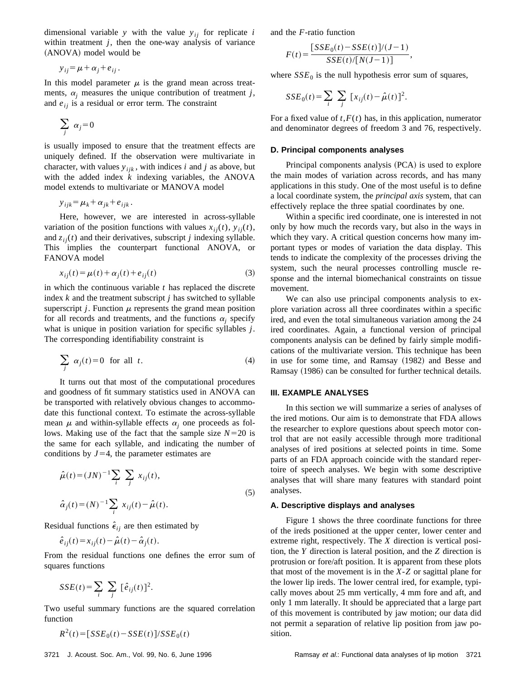dimensional variable *y* with the value  $y_{ij}$  for replicate *i* within treatment *j*, then the one-way analysis of variance (ANOVA) model would be

$$
y_{ij} = \mu + \alpha_j + e_{ij}.
$$

In this model parameter  $\mu$  is the grand mean across treatments,  $\alpha_i$  measures the unique contribution of treatment *j*, and  $e_{ij}$  is a residual or error term. The constraint

$$
\sum_j \alpha_j = 0
$$

is usually imposed to ensure that the treatment effects are uniquely defined. If the observation were multivariate in character, with values  $y_{ijk}$ , with indices *i* and *j* as above, but with the added index *k* indexing variables, the ANOVA model extends to multivariate or MANOVA model

$$
y_{ijk} = \mu_k + \alpha_{jk} + e_{ijk}.
$$

Here, however, we are interested in across-syllable variation of the position functions with values  $x_{ij}(t)$ ,  $y_{ij}(t)$ , and  $z_{ii}(t)$  and their derivatives, subscript *j* indexing syllable. This implies the counterpart functional ANOVA, or FANOVA model

$$
x_{ij}(t) = \mu(t) + \alpha_j(t) + e_{ij}(t)
$$
\n(3)

in which the continuous variable *t* has replaced the discrete index *k* and the treatment subscript *j* has switched to syllable superscript *j*. Function  $\mu$  represents the grand mean position for all records and treatments, and the functions  $\alpha_i$  specify what is unique in position variation for specific syllables *j*. The corresponding identifiability constraint is

$$
\sum_{j} \alpha_{j}(t) = 0 \quad \text{for all} \quad t.
$$
 (4)

It turns out that most of the computational procedures and goodness of fit summary statistics used in ANOVA can be transported with relatively obvious changes to accommodate this functional context. To estimate the across-syllable mean  $\mu$  and within-syllable effects  $\alpha_i$  one proceeds as follows. Making use of the fact that the sample size  $N=20$  is the same for each syllable, and indicating the number of conditions by  $J=4$ , the parameter estimates are

$$
\hat{\mu}(t) = (JN)^{-1} \sum_{i} \sum_{j} x_{ij}(t),
$$
  
\n
$$
\hat{\alpha}_{j}(t) = (N)^{-1} \sum_{i} x_{ij}(t) - \hat{\mu}(t).
$$
\n(5)

Residual functions  $\hat{\epsilon}_{ij}$  are then estimated by

$$
\hat{e}_{ij}(t) = x_{ij}(t) - \hat{\mu}(t) - \hat{\alpha}_j(t).
$$

From the residual functions one defines the error sum of squares functions

$$
SSE(t) = \sum_{i} \sum_{j} [\hat{e}_{ij}(t)]^2.
$$

Two useful summary functions are the squared correlation function

$$
R^2(t) = [SSE_0(t) - SSE(t)]/SSE_0(t)
$$

and the *F*-ratio function

$$
F(t) = \frac{[SSE_0(t) - SSE(t)]/(J-1)}{SSE(t)/[N(J-1)]},
$$

where  $SSE_0$  is the null hypothesis error sum of squares,

$$
SSE_0(t) = \sum_{i} \sum_{j} [x_{ij}(t) - \hat{\mu}(t)]^2.
$$

For a fixed value of  $t$ ,  $F(t)$  has, in this application, numerator and denominator degrees of freedom 3 and 76, respectively.

#### **D. Principal components analyses**

Principal components analysis (PCA) is used to explore the main modes of variation across records, and has many applications in this study. One of the most useful is to define a local coordinate system, the *principal axis* system, that can effectively replace the three spatial coordinates by one.

Within a specific ired coordinate, one is interested in not only by how much the records vary, but also in the ways in which they vary. A critical question concerns how many important types or modes of variation the data display. This tends to indicate the complexity of the processes driving the system, such the neural processes controlling muscle response and the internal biomechanical constraints on tissue movement.

We can also use principal components analysis to explore variation across all three coordinates within a specific ired, and even the total simultaneous variation among the 24 ired coordinates. Again, a functional version of principal components analysis can be defined by fairly simple modifications of the multivariate version. This technique has been in use for some time, and Ramsay  $(1982)$  and Besse and Ramsay (1986) can be consulted for further technical details.

#### **III. EXAMPLE ANALYSES**

In this section we will summarize a series of analyses of the ired motions. Our aim is to demonstrate that FDA allows the researcher to explore questions about speech motor control that are not easily accessible through more traditional analyses of ired positions at selected points in time. Some parts of an FDA approach coincide with the standard repertoire of speech analyses. We begin with some descriptive analyses that will share many features with standard point analyses.

#### **A. Descriptive displays and analyses**

Figure 1 shows the three coordinate functions for three of the ireds positioned at the upper center, lower center and extreme right, respectively. The *X* direction is vertical position, the *Y* direction is lateral position, and the *Z* direction is protrusion or fore/aft position. It is apparent from these plots that most of the movement is in the *X*-*Z* or sagittal plane for the lower lip ireds. The lower central ired, for example, typically moves about 25 mm vertically, 4 mm fore and aft, and only 1 mm laterally. It should be appreciated that a large part of this movement is contributed by jaw motion; our data did not permit a separation of relative lip position from jaw position.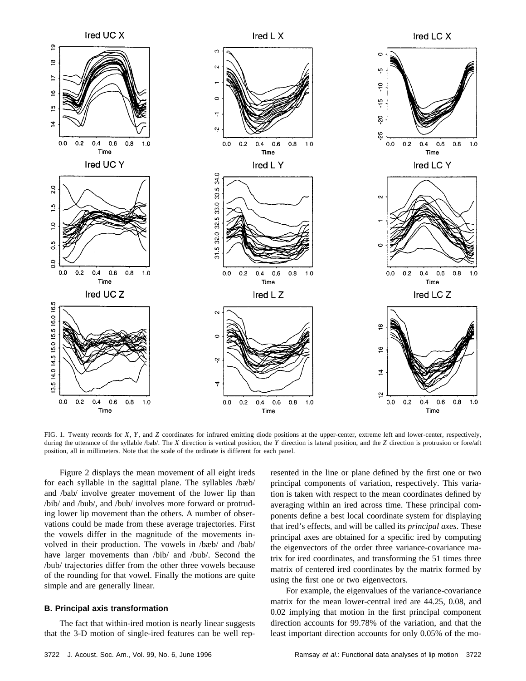

FIG. 1. Twenty records for *X*, *Y*, and *Z* coordinates for infrared emitting diode positions at the upper-center, extreme left and lower-center, respectively, during the utterance of the syllable /bab/. The *X* direction is vertical position, the *Y* direction is lateral position, and the *Z* direction is protrusion or fore/aft position, all in millimeters. Note that the scale of the ordinate is different for each panel.

Figure 2 displays the mean movement of all eight ireds for each syllable in the sagittal plane. The syllables /bæb/ and /bab/ involve greater movement of the lower lip than /bib/ and /bub/, and /bub/ involves more forward or protruding lower lip movement than the others. A number of observations could be made from these average trajectories. First the vowels differ in the magnitude of the movements involved in their production. The vowels in /bæb/ and /bab/ have larger movements than /bib/ and /bub/. Second the /bub/ trajectories differ from the other three vowels because of the rounding for that vowel. Finally the motions are quite simple and are generally linear.

## **B. Principal axis transformation**

The fact that within-ired motion is nearly linear suggests that the 3-D motion of single-ired features can be well represented in the line or plane defined by the first one or two principal components of variation, respectively. This variation is taken with respect to the mean coordinates defined by averaging within an ired across time. These principal components define a best local coordinate system for displaying that ired's effects, and will be called its *principal axes*. These principal axes are obtained for a specific ired by computing the eigenvectors of the order three variance-covariance matrix for ired coordinates, and transforming the 51 times three matrix of centered ired coordinates by the matrix formed by using the first one or two eigenvectors.

For example, the eigenvalues of the variance-covariance matrix for the mean lower-central ired are 44.25, 0.08, and 0.02 implying that motion in the first principal component direction accounts for 99.78% of the variation, and that the least important direction accounts for only 0.05% of the mo-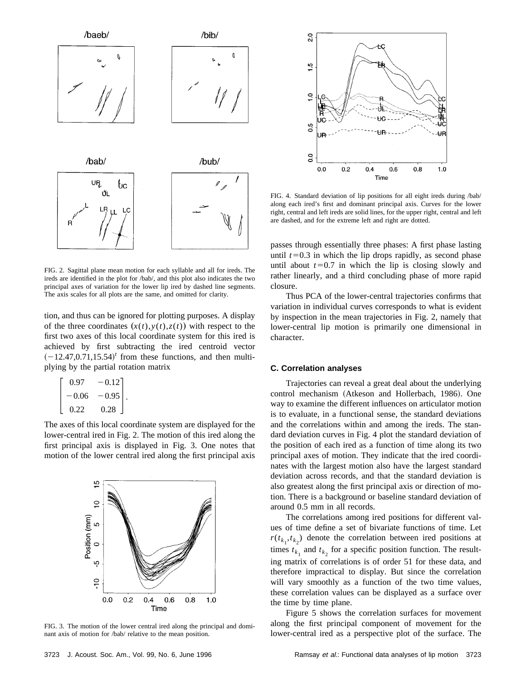

FIG. 2. Sagittal plane mean motion for each syllable and all for ireds. The ireds are identified in the plot for /bab/, and this plot also indicates the two principal axes of variation for the lower lip ired by dashed line segments. The axis scales for all plots are the same, and omitted for clarity.

tion, and thus can be ignored for plotting purposes. A display of the three coordinates  $(x(t),y(t),z(t))$  with respect to the first two axes of this local coordinate system for this ired is achieved by first subtracting the ired centroid vector  $(-12.47, 0.71, 15.54)^t$  from these functions, and then multiplying by the partial rotation matrix

$$
\begin{bmatrix} 0.97 & -0.12 \ -0.06 & -0.95 \ 0.22 & 0.28 \end{bmatrix}.
$$

The axes of this local coordinate system are displayed for the lower-central ired in Fig. 2. The motion of this ired along the first principal axis is displayed in Fig. 3. One notes that motion of the lower central ired along the first principal axis



FIG. 3. The motion of the lower central ired along the principal and dominant axis of motion for /bab/ relative to the mean position.



FIG. 4. Standard deviation of lip positions for all eight ireds during /bab/ along each ired's first and dominant principal axis. Curves for the lower right, central and left ireds are solid lines, for the upper right, central and left are dashed, and for the extreme left and right are dotted.

passes through essentially three phases: A first phase lasting until  $t=0.3$  in which the lip drops rapidly, as second phase until about  $t=0.7$  in which the lip is closing slowly and rather linearly, and a third concluding phase of more rapid closure.

Thus PCA of the lower-central trajectories confirms that variation in individual curves corresponds to what is evident by inspection in the mean trajectories in Fig. 2, namely that lower-central lip motion is primarily one dimensional in character.

### **C. Correlation analyses**

Trajectories can reveal a great deal about the underlying control mechanism (Atkeson and Hollerbach, 1986). One way to examine the different influences on articulator motion is to evaluate, in a functional sense, the standard deviations and the correlations within and among the ireds. The standard deviation curves in Fig. 4 plot the standard deviation of the position of each ired as a function of time along its two principal axes of motion. They indicate that the ired coordinates with the largest motion also have the largest standard deviation across records, and that the standard deviation is also greatest along the first principal axis or direction of motion. There is a background or baseline standard deviation of around 0.5 mm in all records.

The correlations among ired positions for different values of time define a set of bivariate functions of time. Let  $r(t_{k_1}, t_{k_2})$  denote the correlation between ired positions at times  $t_{k_1}$  and  $t_{k_2}$  for a specific position function. The resulting matrix of correlations is of order 51 for these data, and therefore impractical to display. But since the correlation will vary smoothly as a function of the two time values, these correlation values can be displayed as a surface over the time by time plane.

Figure 5 shows the correlation surfaces for movement along the first principal component of movement for the lower-central ired as a perspective plot of the surface. The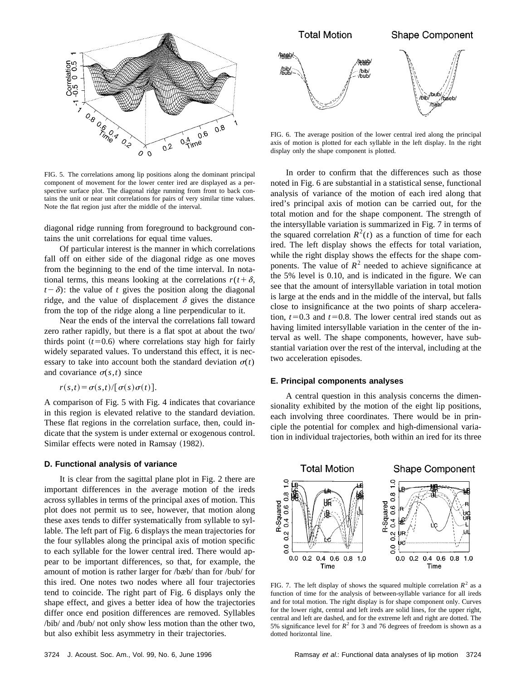

FIG. 5. The correlations among lip positions along the dominant principal component of movement for the lower center ired are displayed as a perspective surface plot. The diagonal ridge running from front to back contains the unit or near unit correlations for pairs of very similar time values. Note the flat region just after the middle of the interval.

diagonal ridge running from foreground to background contains the unit correlations for equal time values.

Of particular interest is the manner in which correlations fall off on either side of the diagonal ridge as one moves from the beginning to the end of the time interval. In notational terms, this means looking at the correlations  $r(t+\delta)$ ,  $t-\delta$ : the value of *t* gives the position along the diagonal ridge, and the value of displacement  $\delta$  gives the distance from the top of the ridge along a line perpendicular to it.

Near the ends of the interval the correlations fall toward zero rather rapidly, but there is a flat spot at about the two/ thirds point  $(t=0.6)$  where correlations stay high for fairly widely separated values. To understand this effect, it is necessary to take into account both the standard deviation  $\sigma(t)$ and covariance  $\sigma(s,t)$  since

$$
r(s,t) = \sigma(s,t)/[\sigma(s)\sigma(t)].
$$

A comparison of Fig. 5 with Fig. 4 indicates that covariance in this region is elevated relative to the standard deviation. These flat regions in the correlation surface, then, could indicate that the system is under external or exogenous control. Similar effects were noted in Ramsay (1982).

#### **D. Functional analysis of variance**

It is clear from the sagittal plane plot in Fig. 2 there are important differences in the average motion of the ireds across syllables in terms of the principal axes of motion. This plot does not permit us to see, however, that motion along these axes tends to differ systematically from syllable to syllable. The left part of Fig. 6 displays the mean trajectories for the four syllables along the principal axis of motion specific to each syllable for the lower central ired. There would appear to be important differences, so that, for example, the amount of motion is rather larger for /bæb/ than for /bub/ for this ired. One notes two nodes where all four trajectories tend to coincide. The right part of Fig. 6 displays only the shape effect, and gives a better idea of how the trajectories differ once end position differences are removed. Syllables /bib/ and /bub/ not only show less motion than the other two, but also exhibit less asymmetry in their trajectories.



FIG. 6. The average position of the lower central ired along the principal axis of motion is plotted for each syllable in the left display. In the right display only the shape component is plotted.

In order to confirm that the differences such as those noted in Fig. 6 are substantial in a statistical sense, functional analysis of variance of the motion of each ired along that ired's principal axis of motion can be carried out, for the total motion and for the shape component. The strength of the intersyllable variation is summarized in Fig. 7 in terms of the squared correlation  $R^2(t)$  as a function of time for each ired. The left display shows the effects for total variation, while the right display shows the effects for the shape components. The value of  $R^2$  needed to achieve significance at the 5% level is 0.10, and is indicated in the figure. We can see that the amount of intersyllable variation in total motion is large at the ends and in the middle of the interval, but falls close to insignificance at the two points of sharp acceleration,  $t=0.3$  and  $t=0.8$ . The lower central ired stands out as having limited intersyllable variation in the center of the interval as well. The shape components, however, have substantial variation over the rest of the interval, including at the two acceleration episodes.

#### **E. Principal components analyses**

A central question in this analysis concerns the dimensionality exhibited by the motion of the eight lip positions, each involving three coordinates. There would be in principle the potential for complex and high-dimensional variation in individual trajectories, both within an ired for its three



FIG. 7. The left display of shows the squared multiple correlation  $R^2$  as a function of time for the analysis of between-syllable variance for all ireds and for total motion. The right display is for shape component only. Curves for the lower right, central and left ireds are solid lines, for the upper right, central and left are dashed, and for the extreme left and right are dotted. The 5% significance level for  $R^2$  for 3 and 76 degrees of freedom is shown as a dotted horizontal line.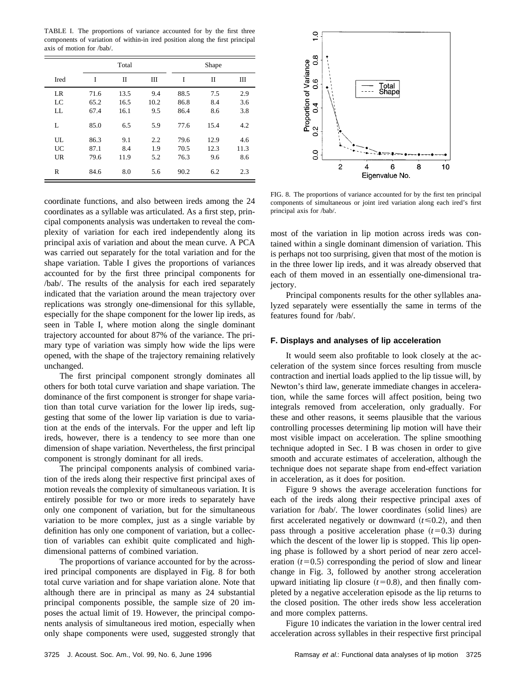TABLE I. The proportions of variance accounted for by the first three components of variation of within-in ired position along the first principal axis of motion for /bab/.

|      |      | Total        |      |      | Shape |      |  |
|------|------|--------------|------|------|-------|------|--|
| Ired | I    | $\mathbf{I}$ | Ш    | I    | П     | Ш    |  |
| LR   | 71.6 | 13.5         | 9.4  | 88.5 | 7.5   | 2.9  |  |
| LC   | 65.2 | 16.5         | 10.2 | 86.8 | 8.4   | 3.6  |  |
| LL   | 67.4 | 16.1         | 9.5  | 86.4 | 8.6   | 3.8  |  |
| L    | 85.0 | 6.5          | 5.9  | 77.6 | 15.4  | 4.2  |  |
| UL   | 86.3 | 9.1          | 2.2  | 79.6 | 12.9  | 4.6  |  |
| UC   | 87.1 | 8.4          | 1.9  | 70.5 | 12.3  | 11.3 |  |
| UR   | 79.6 | 11.9         | 5.2  | 76.3 | 9.6   | 8.6  |  |
| R    | 84.6 | 8.0          | 5.6  | 90.2 | 6.2   | 2.3  |  |

coordinate functions, and also between ireds among the 24 coordinates as a syllable was articulated. As a first step, principal components analysis was undertaken to reveal the complexity of variation for each ired independently along its principal axis of variation and about the mean curve. A PCA was carried out separately for the total variation and for the shape variation. Table I gives the proportions of variances accounted for by the first three principal components for /bab/. The results of the analysis for each ired separately indicated that the variation around the mean trajectory over replications was strongly one-dimensional for this syllable, especially for the shape component for the lower lip ireds, as seen in Table I, where motion along the single dominant trajectory accounted for about 87% of the variance. The primary type of variation was simply how wide the lips were opened, with the shape of the trajectory remaining relatively unchanged.

The first principal component strongly dominates all others for both total curve variation and shape variation. The dominance of the first component is stronger for shape variation than total curve variation for the lower lip ireds, suggesting that some of the lower lip variation is due to variation at the ends of the intervals. For the upper and left lip ireds, however, there is a tendency to see more than one dimension of shape variation. Nevertheless, the first principal component is strongly dominant for all ireds.

The principal components analysis of combined variation of the ireds along their respective first principal axes of motion reveals the complexity of simultaneous variation. It is entirely possible for two or more ireds to separately have only one component of variation, but for the simultaneous variation to be more complex, just as a single variable by definition has only one component of variation, but a collection of variables can exhibit quite complicated and highdimensional patterns of combined variation.

The proportions of variance accounted for by the acrossired principal components are displayed in Fig. 8 for both total curve variation and for shape variation alone. Note that although there are in principal as many as 24 substantial principal components possible, the sample size of 20 imposes the actual limit of 19. However, the principal components analysis of simultaneous ired motion, especially when only shape components were used, suggested strongly that



FIG. 8. The proportions of variance accounted for by the first ten principal components of simultaneous or joint ired variation along each ired's first principal axis for /bab/.

most of the variation in lip motion across ireds was contained within a single dominant dimension of variation. This is perhaps not too surprising, given that most of the motion is in the three lower lip ireds, and it was already observed that each of them moved in an essentially one-dimensional trajectory.

Principal components results for the other syllables analyzed separately were essentially the same in terms of the features found for /bab/.

### **F. Displays and analyses of lip acceleration**

It would seem also profitable to look closely at the acceleration of the system since forces resulting from muscle contraction and inertial loads applied to the lip tissue will, by Newton's third law, generate immediate changes in acceleration, while the same forces will affect position, being two integrals removed from acceleration, only gradually. For these and other reasons, it seems plausible that the various controlling processes determining lip motion will have their most visible impact on acceleration. The spline smoothing technique adopted in Sec. I B was chosen in order to give smooth and accurate estimates of acceleration, although the technique does not separate shape from end-effect variation in acceleration, as it does for position.

Figure 9 shows the average acceleration functions for each of the ireds along their respective principal axes of variation for /bab/. The lower coordinates (solid lines) are first accelerated negatively or downward  $(t \le 0.2)$ , and then pass through a positive acceleration phase  $(t=0.3)$  during which the descent of the lower lip is stopped. This lip opening phase is followed by a short period of near zero acceleration  $(t=0.5)$  corresponding the period of slow and linear change in Fig. 3, followed by another strong acceleration upward initiating lip closure  $(t=0.8)$ , and then finally completed by a negative acceleration episode as the lip returns to the closed position. The other ireds show less acceleration and more complex patterns.

Figure 10 indicates the variation in the lower central ired acceleration across syllables in their respective first principal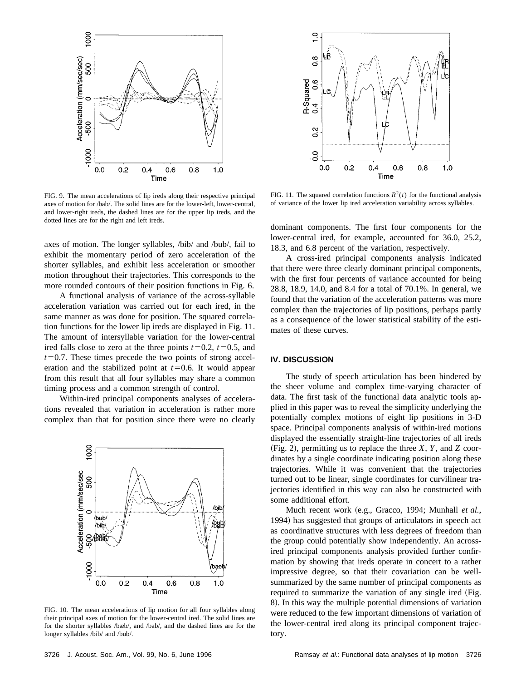

FIG. 9. The mean accelerations of lip ireds along their respective principal axes of motion for /bab/. The solid lines are for the lower-left, lower-central, and lower-right ireds, the dashed lines are for the upper lip ireds, and the dotted lines are for the right and left ireds.

axes of motion. The longer syllables, /bib/ and /bub/, fail to exhibit the momentary period of zero acceleration of the shorter syllables, and exhibit less acceleration or smoother motion throughout their trajectories. This corresponds to the more rounded contours of their position functions in Fig. 6.

A functional analysis of variance of the across-syllable acceleration variation was carried out for each ired, in the same manner as was done for position. The squared correlation functions for the lower lip ireds are displayed in Fig. 11. The amount of intersyllable variation for the lower-central ired falls close to zero at the three points  $t=0.2$ ,  $t=0.5$ , and  $t=0.7$ . These times precede the two points of strong acceleration and the stabilized point at  $t=0.6$ . It would appear from this result that all four syllables may share a common timing process and a common strength of control.

Within-ired principal components analyses of accelerations revealed that variation in acceleration is rather more complex than that for position since there were no clearly



FIG. 10. The mean accelerations of lip motion for all four syllables along their principal axes of motion for the lower-central ired. The solid lines are for the shorter syllables /bæb/, and /bab/, and the dashed lines are for the longer syllables /bib/ and /bub/.



FIG. 11. The squared correlation functions  $R^2(t)$  for the functional analysis of variance of the lower lip ired acceleration variability across syllables.

dominant components. The first four components for the lower-central ired, for example, accounted for 36.0, 25.2, 18.3, and 6.8 percent of the variation, respectively.

A cross-ired principal components analysis indicated that there were three clearly dominant principal components, with the first four percents of variance accounted for being 28.8, 18.9, 14.0, and 8.4 for a total of 70.1%. In general, we found that the variation of the acceleration patterns was more complex than the trajectories of lip positions, perhaps partly as a consequence of the lower statistical stability of the estimates of these curves.

# **IV. DISCUSSION**

The study of speech articulation has been hindered by the sheer volume and complex time-varying character of data. The first task of the functional data analytic tools applied in this paper was to reveal the simplicity underlying the potentially complex motions of eight lip positions in 3-D space. Principal components analysis of within-ired motions displayed the essentially straight-line trajectories of all ireds  $(Fig. 2)$ , permitting us to replace the three *X*, *Y*, and *Z* coordinates by a single coordinate indicating position along these trajectories. While it was convenient that the trajectories turned out to be linear, single coordinates for curvilinear trajectories identified in this way can also be constructed with some additional effort.

Much recent work (e.g., Gracco, 1994; Munhall *et al.*, 1994) has suggested that groups of articulators in speech act as coordinative structures with less degrees of freedom than the group could potentially show independently. An acrossired principal components analysis provided further confirmation by showing that ireds operate in concert to a rather impressive degree, so that their covariation can be wellsummarized by the same number of principal components as required to summarize the variation of any single ired (Fig. 8). In this way the multiple potential dimensions of variation were reduced to the few important dimensions of variation of the lower-central ired along its principal component trajectory.